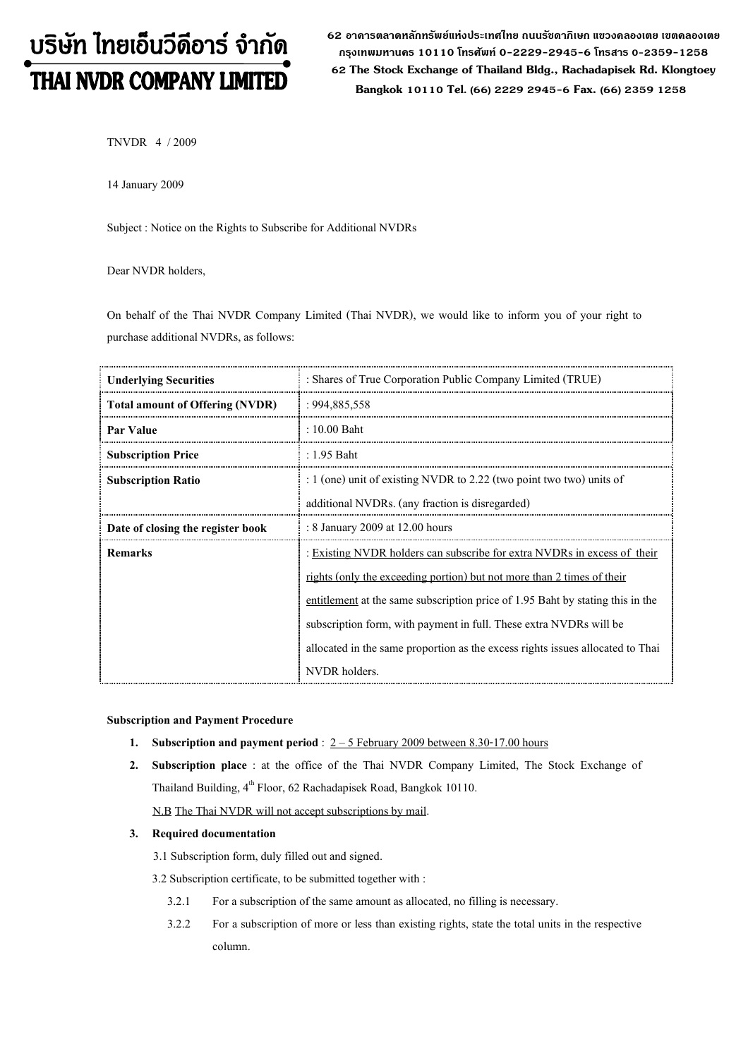# บริษัท ไทยเอ็นวีดีอาร์ จำกัด THAI NVDR COMPANY LIMITED

62 อาดารตลาดหลักทรัพย์แห่งประเทศไทย ถนนรัซดาภิเษก แขวงดลองเตย เขตดลองเตย กรุงเทพมหานดร 10110 โทรศัพท์ 0-2229-2945-6 โทรสาร 0-2359-1258 62 The Stock Exchange of Thailand Bldg., Rachadapisek Rd. Klongtoey Bangkok 10110 Tel. (66) 2229 2945-6 Fax. (66) 2359 1258

TNVDR 4 / 2009

14 January 2009

Subject : Notice on the Rights to Subscribe for Additional NVDRs

Dear NVDR holders,

On behalf of the Thai NVDR Company Limited (Thai NVDR), we would like to inform you of your right to purchase additional NVDRs, as follows:

| <b>Underlying Securities</b>           | : Shares of True Corporation Public Company Limited (TRUE)                     |  |  |
|----------------------------------------|--------------------------------------------------------------------------------|--|--|
| <b>Total amount of Offering (NVDR)</b> | : 994,885,558                                                                  |  |  |
| <b>Par Value</b>                       | $: 10.00$ Baht                                                                 |  |  |
| <b>Subscription Price</b>              | : 1.95 Baht                                                                    |  |  |
| <b>Subscription Ratio</b>              | : 1 (one) unit of existing NVDR to 2.22 (two point two two) units of           |  |  |
|                                        | additional NVDRs. (any fraction is disregarded)                                |  |  |
| Date of closing the register book      | : 8 January 2009 at 12.00 hours                                                |  |  |
| <b>Remarks</b>                         | : Existing NVDR holders can subscribe for extra NVDRs in excess of their       |  |  |
|                                        | rights (only the exceeding portion) but not more than 2 times of their         |  |  |
|                                        | entitlement at the same subscription price of 1.95 Baht by stating this in the |  |  |
|                                        | subscription form, with payment in full. These extra NVDRs will be             |  |  |
|                                        | allocated in the same proportion as the excess rights issues allocated to Thai |  |  |
|                                        | NVDR holders.                                                                  |  |  |

#### Subscription and Payment Procedure

- 1. Subscription and payment period :  $2 5$  February 2009 between 8.30-17.00 hours
- 2. Subscription place : at the office of the Thai NVDR Company Limited, The Stock Exchange of Thailand Building, 4<sup>th</sup> Floor, 62 Rachadapisek Road, Bangkok 10110.

N.B The Thai NVDR will not accept subscriptions by mail.

### 3. Required documentation

3.1 Subscription form, duly filled out and signed.

3.2 Subscription certificate, to be submitted together with :

- 3.2.1 For a subscription of the same amount as allocated, no filling is necessary.
- 3.2.2 For a subscription of more or less than existing rights, state the total units in the respective column.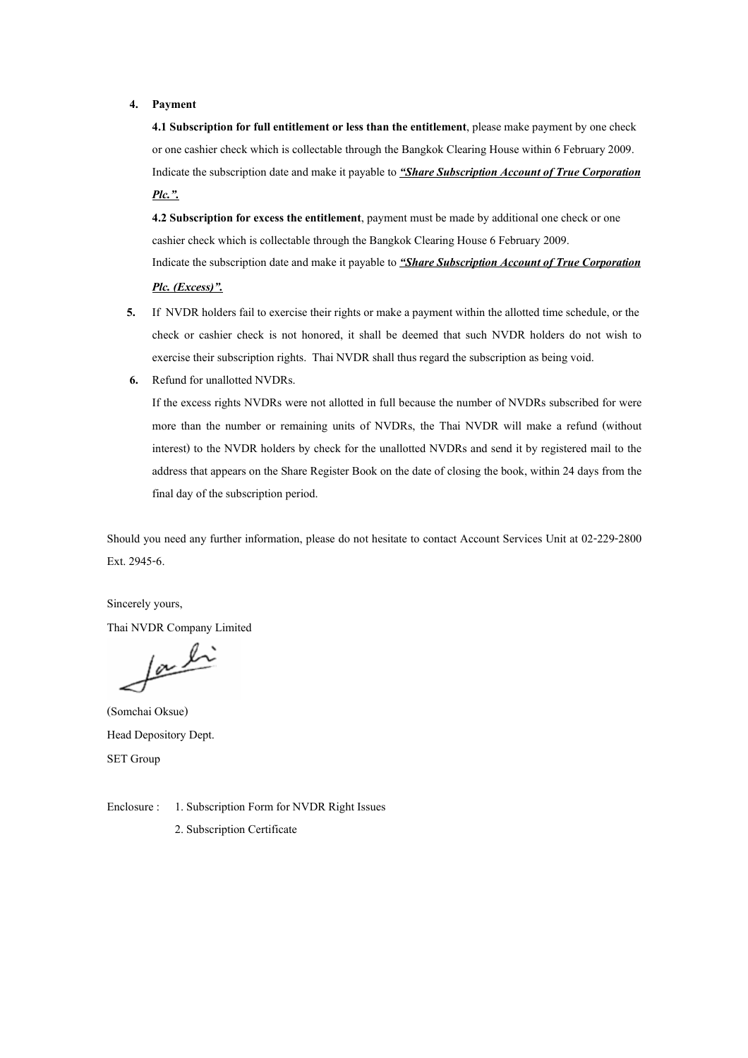#### 4. Payment

4.1 Subscription for full entitlement or less than the entitlement, please make payment by one check or one cashier check which is collectable through the Bangkok Clearing House within 6 February 2009. Indicate the subscription date and make it payable to "Share Subscription Account of True Corporation Plc.".

4.2 Subscription for excess the entitlement, payment must be made by additional one check or one cashier check which is collectable through the Bangkok Clearing House 6 February 2009. Indicate the subscription date and make it payable to "Share Subscription Account of True Corporation

- Plc. (Excess)".
- 5. If NVDR holders fail to exercise their rights or make a payment within the allotted time schedule, or the check or cashier check is not honored, it shall be deemed that such NVDR holders do not wish to exercise their subscription rights. Thai NVDR shall thus regard the subscription as being void.
- 6. Refund for unallotted NVDRs.

If the excess rights NVDRs were not allotted in full because the number of NVDRs subscribed for were more than the number or remaining units of NVDRs, the Thai NVDR will make a refund (without interest) to the NVDR holders by check for the unallotted NVDRs and send it by registered mail to the address that appears on the Share Register Book on the date of closing the book, within 24 days from the final day of the subscription period.

Should you need any further information, please do not hesitate to contact Account Services Unit at 02-229-2800 Ext. 2945-6.

Sincerely yours,

Thai NVDR Company Limited

fachi

(Somchai Oksue) Head Depository Dept. SET Group

Enclosure : 1. Subscription Form for NVDR Right Issues 2. Subscription Certificate